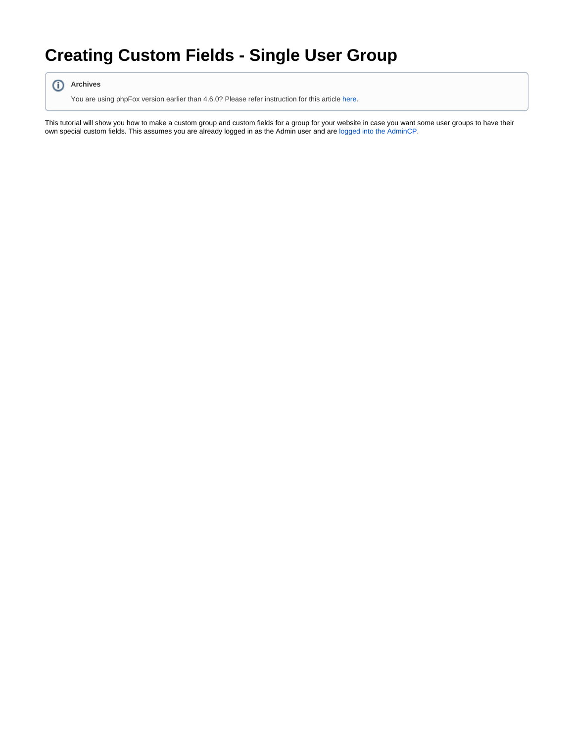## **Creating Custom Fields - Single User Group**



You are using phpFox version earlier than 4.6.0? Please refer instruction for this article [here.](https://docs.phpfox.com/display/AD/Creating+Custom+Fields+-+Single+User+Group)

This tutorial will show you how to make a custom group and custom fields for a group for your website in case you want some user groups to have their own special custom fields. This assumes you are already logged in as the Admin user and are [logged into the AdminCP.](https://docs.phpfox.com/display/FOX4MAN/How+to+Log+in+to+the+AdminCP)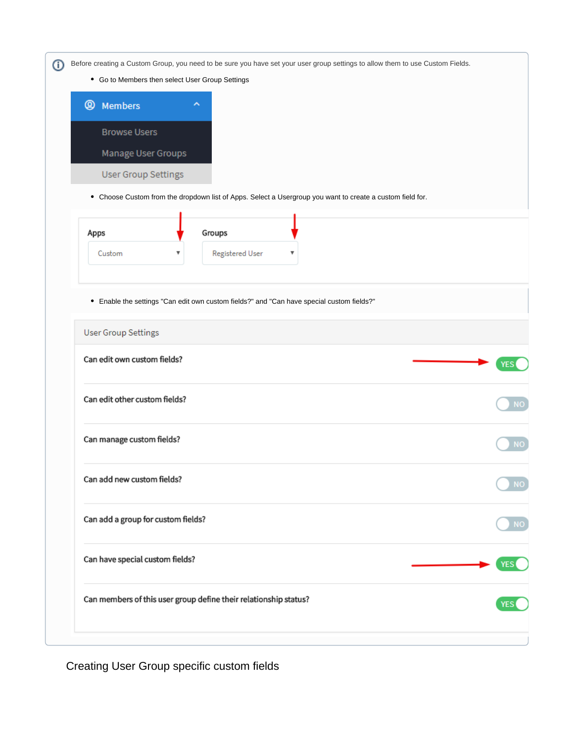Before creating a Custom Group, you need to be sure you have set your user group settings to allow them to use Custom Fields.

Go to Members then select User Group Settings



Choose Custom from the dropdown list of Apps. Select a Usergroup you want to create a custom field for.

| Groups<br>Apps                 |
|--------------------------------|
| Registered User<br>Custom<br>v |

Enable the settings "Can edit own custom fields?" and "Can have special custom fields?"

| <b>User Group Settings</b>                                       |            |
|------------------------------------------------------------------|------------|
| Can edit own custom fields?                                      | YES        |
| Can edit other custom fields?                                    | NO         |
| Can manage custom fields?                                        | <b>NO</b>  |
| Can add new custom fields?                                       | NΟ         |
| Can add a group for custom fields?                               | NЮ         |
| Can have special custom fields?                                  |            |
| Can members of this user group define their relationship status? | <b>YES</b> |
|                                                                  |            |

Creating User Group specific custom fields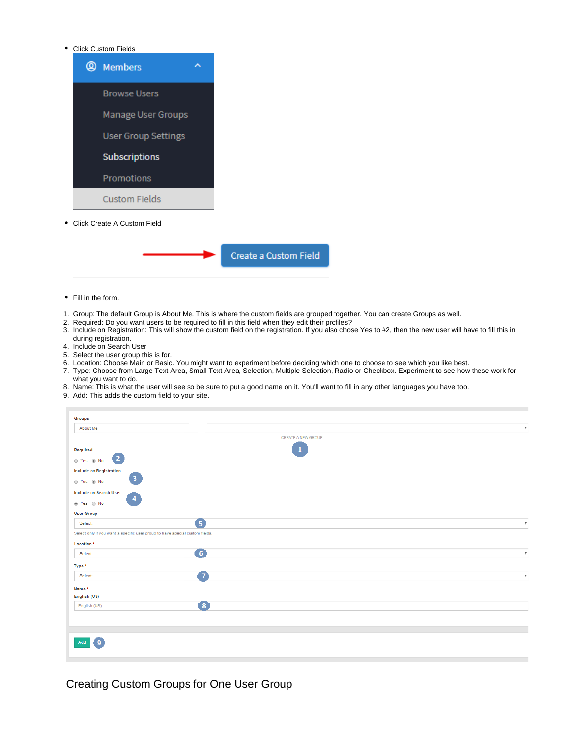## <span id="page-2-0"></span>Click Custom Fields



<span id="page-2-1"></span>Click Create A Custom Field

## Create a Custom Field

- Fill in the form.
- 1. Group: The default Group is About Me. This is where the custom fields are grouped together. You can create Groups as well.
- 2. Required: Do you want users to be required to fill in this field when they edit their profiles?
- 3. Include on Registration: This will show the custom field on the registration. If you also chose Yes to #2, then the new user will have to fill this in during registration.
- 4. Include on Search User
- 5. Select the user group this is for.
- 6. Location: Choose Main or Basic. You might want to experiment before deciding which one to choose to see which you like best.
- 7. Type: Choose from Large Text Area, Small Text Area, Selection, Multiple Selection, Radio or Checkbox. Experiment to see how these work for what you want to do.
- 8. Name: This is what the user will see so be sure to put a good name on it. You'll want to fill in any other languages you have too.
- 9. Add: This adds the custom field to your site.

| <b>Groups</b>                                                                |                           |                           |
|------------------------------------------------------------------------------|---------------------------|---------------------------|
| About Me                                                                     |                           | $\boldsymbol{\mathrm{v}}$ |
|                                                                              | <b>CREATE A NEW GROUP</b> |                           |
| Required                                                                     |                           |                           |
| $\overline{2}$<br>⊙ Yes ⊛ No                                                 |                           |                           |
| Include on Registration                                                      |                           |                           |
| $\mathbf{3}$<br>⊙ Yes ⊛ No                                                   |                           |                           |
| Include on Search User                                                       |                           |                           |
| 4<br>$\circledast$ Yes $\circledast$ No                                      |                           |                           |
| <b>User Group</b>                                                            |                           |                           |
| 6<br>Select:                                                                 |                           | $\boldsymbol{\mathrm{v}}$ |
| Select only if you want a specific user group to have special custom fields. |                           |                           |
| Location <sup>*</sup>                                                        |                           |                           |
| $\left( 6\right)$<br>Select:                                                 |                           | $\boldsymbol{\mathrm{v}}$ |
| Type *                                                                       |                           |                           |
| 7<br>Select:                                                                 |                           | $\boldsymbol{\mathrm{v}}$ |
| Name*                                                                        |                           |                           |
| English (US)                                                                 |                           |                           |
| $\left( 8\right)$<br>English (US)                                            |                           |                           |
|                                                                              |                           |                           |
|                                                                              |                           |                           |
|                                                                              |                           |                           |
| 9<br>Add                                                                     |                           |                           |
|                                                                              |                           |                           |

Creating Custom Groups for One User Group